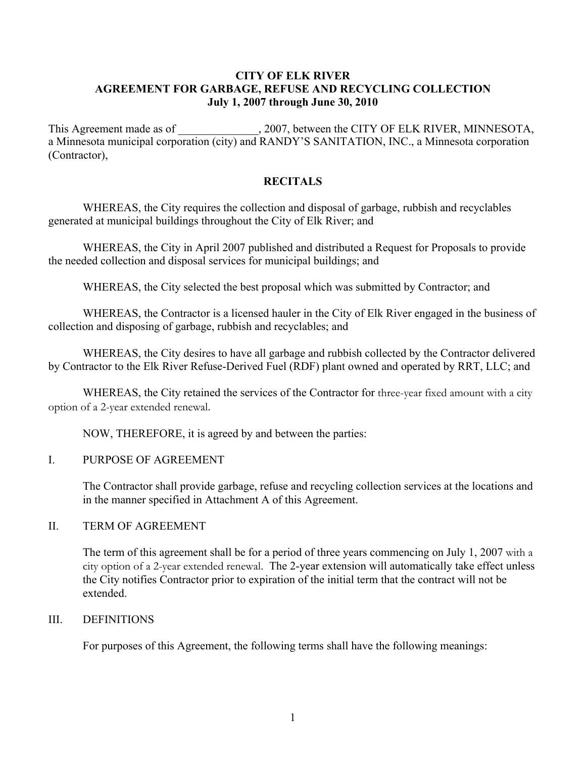## **CITY OF ELK RIVER AGREEMENT FOR GARBAGE, REFUSE AND RECYCLING COLLECTION July 1, 2007 through June 30, 2010**

This Agreement made as of \_\_\_\_\_\_\_\_\_\_\_\_, 2007, between the CITY OF ELK RIVER, MINNESOTA, a Minnesota municipal corporation (city) and RANDY'S SANITATION, INC., a Minnesota corporation (Contractor),

# **RECITALS**

WHEREAS, the City requires the collection and disposal of garbage, rubbish and recyclables generated at municipal buildings throughout the City of Elk River; and

WHEREAS, the City in April 2007 published and distributed a Request for Proposals to provide the needed collection and disposal services for municipal buildings; and

WHEREAS, the City selected the best proposal which was submitted by Contractor; and

WHEREAS, the Contractor is a licensed hauler in the City of Elk River engaged in the business of collection and disposing of garbage, rubbish and recyclables; and

WHEREAS, the City desires to have all garbage and rubbish collected by the Contractor delivered by Contractor to the Elk River Refuse-Derived Fuel (RDF) plant owned and operated by RRT, LLC; and

WHEREAS, the City retained the services of the Contractor for three-year fixed amount with a city option of a 2-year extended renewal.

NOW, THEREFORE, it is agreed by and between the parties:

## I. PURPOSE OF AGREEMENT

The Contractor shall provide garbage, refuse and recycling collection services at the locations and in the manner specified in Attachment A of this Agreement.

## II. TERM OF AGREEMENT

The term of this agreement shall be for a period of three years commencing on July 1, 2007 with a city option of a 2-year extended renewal. The 2-year extension will automatically take effect unless the City notifies Contractor prior to expiration of the initial term that the contract will not be extended.

## III. DEFINITIONS

For purposes of this Agreement, the following terms shall have the following meanings: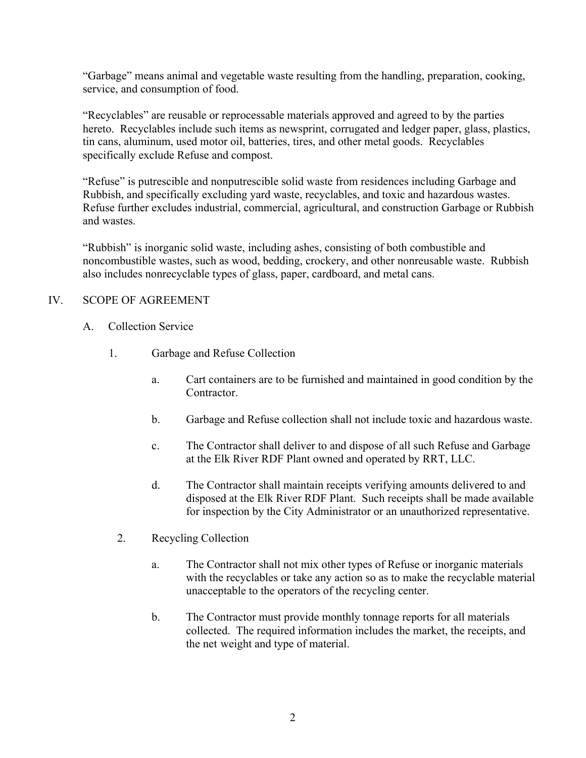"Garbage" means animal and vegetable waste resulting from the handling, preparation, cooking, service, and consumption of food.

"Recyclables" are reusable or reprocessable materials approved and agreed to by the parties hereto. Recyclables include such items as newsprint, corrugated and ledger paper, glass, plastics, tin cans, aluminum, used motor oil, batteries, tires, and other metal goods. Recyclables specifically exclude Refuse and compost.

"Refuse" is putrescible and nonputrescible solid waste from residences including Garbage and Rubbish, and specifically excluding yard waste, recyclables, and toxic and hazardous wastes. Refuse further excludes industrial, commercial, agricultural, and construction Garbage or Rubbish and wastes.

"Rubbish" is inorganic solid waste, including ashes, consisting of both combustible and noncombustible wastes, such as wood, bedding, crockery, and other nonreusable waste. Rubbish also includes nonrecyclable types of glass, paper, cardboard, and metal cans.

# IV. SCOPE OF AGREEMENT

- A. Collection Service
	- 1. Garbage and Refuse Collection
		- a. Cart containers are to be furnished and maintained in good condition by the **Contractor**
		- b. Garbage and Refuse collection shall not include toxic and hazardous waste.
		- c. The Contractor shall deliver to and dispose of all such Refuse and Garbage at the Elk River RDF Plant owned and operated by RRT, LLC.
		- d. The Contractor shall maintain receipts verifying amounts delivered to and disposed at the Elk River RDF Plant. Such receipts shall be made available for inspection by the City Administrator or an unauthorized representative.
		- 2. Recycling Collection
			- a. The Contractor shall not mix other types of Refuse or inorganic materials with the recyclables or take any action so as to make the recyclable material unacceptable to the operators of the recycling center.
			- b. The Contractor must provide monthly tonnage reports for all materials collected. The required information includes the market, the receipts, and the net weight and type of material.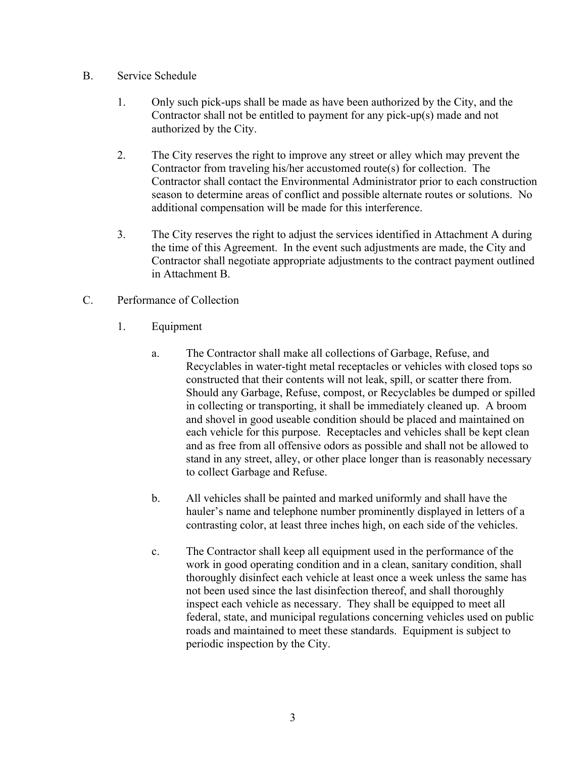## B. Service Schedule

- 1. Only such pick-ups shall be made as have been authorized by the City, and the Contractor shall not be entitled to payment for any pick-up(s) made and not authorized by the City.
- 2. The City reserves the right to improve any street or alley which may prevent the Contractor from traveling his/her accustomed route(s) for collection. The Contractor shall contact the Environmental Administrator prior to each construction season to determine areas of conflict and possible alternate routes or solutions. No additional compensation will be made for this interference.
- 3. The City reserves the right to adjust the services identified in Attachment A during the time of this Agreement. In the event such adjustments are made, the City and Contractor shall negotiate appropriate adjustments to the contract payment outlined in Attachment B.
- C. Performance of Collection
	- 1. Equipment
		- a. The Contractor shall make all collections of Garbage, Refuse, and Recyclables in water-tight metal receptacles or vehicles with closed tops so constructed that their contents will not leak, spill, or scatter there from. Should any Garbage, Refuse, compost, or Recyclables be dumped or spilled in collecting or transporting, it shall be immediately cleaned up. A broom and shovel in good useable condition should be placed and maintained on each vehicle for this purpose. Receptacles and vehicles shall be kept clean and as free from all offensive odors as possible and shall not be allowed to stand in any street, alley, or other place longer than is reasonably necessary to collect Garbage and Refuse.
		- b. All vehicles shall be painted and marked uniformly and shall have the hauler's name and telephone number prominently displayed in letters of a contrasting color, at least three inches high, on each side of the vehicles.
		- c. The Contractor shall keep all equipment used in the performance of the work in good operating condition and in a clean, sanitary condition, shall thoroughly disinfect each vehicle at least once a week unless the same has not been used since the last disinfection thereof, and shall thoroughly inspect each vehicle as necessary. They shall be equipped to meet all federal, state, and municipal regulations concerning vehicles used on public roads and maintained to meet these standards. Equipment is subject to periodic inspection by the City.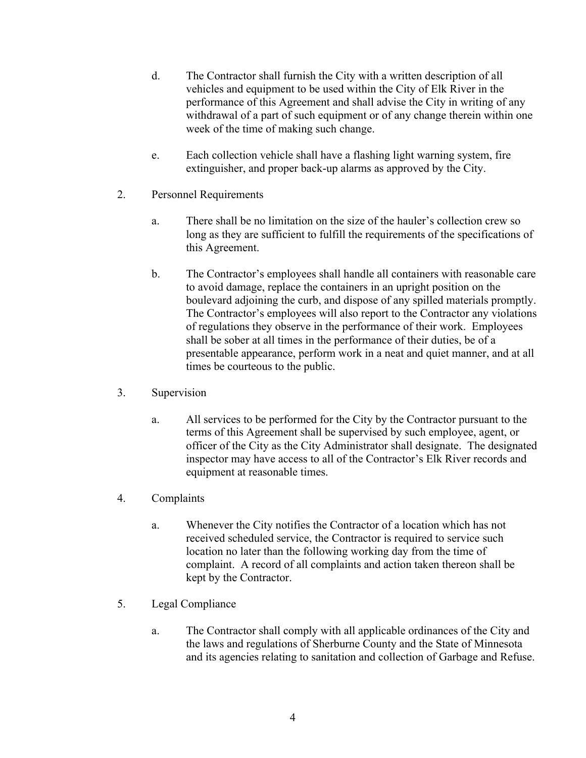- d. The Contractor shall furnish the City with a written description of all vehicles and equipment to be used within the City of Elk River in the performance of this Agreement and shall advise the City in writing of any withdrawal of a part of such equipment or of any change therein within one week of the time of making such change.
- e. Each collection vehicle shall have a flashing light warning system, fire extinguisher, and proper back-up alarms as approved by the City.
- 2. Personnel Requirements
	- a. There shall be no limitation on the size of the hauler's collection crew so long as they are sufficient to fulfill the requirements of the specifications of this Agreement.
	- b. The Contractor's employees shall handle all containers with reasonable care to avoid damage, replace the containers in an upright position on the boulevard adjoining the curb, and dispose of any spilled materials promptly. The Contractor's employees will also report to the Contractor any violations of regulations they observe in the performance of their work. Employees shall be sober at all times in the performance of their duties, be of a presentable appearance, perform work in a neat and quiet manner, and at all times be courteous to the public.
- 3. Supervision
	- a. All services to be performed for the City by the Contractor pursuant to the terms of this Agreement shall be supervised by such employee, agent, or officer of the City as the City Administrator shall designate. The designated inspector may have access to all of the Contractor's Elk River records and equipment at reasonable times.
- 4. Complaints
	- a. Whenever the City notifies the Contractor of a location which has not received scheduled service, the Contractor is required to service such location no later than the following working day from the time of complaint. A record of all complaints and action taken thereon shall be kept by the Contractor.
- 5. Legal Compliance
	- a. The Contractor shall comply with all applicable ordinances of the City and the laws and regulations of Sherburne County and the State of Minnesota and its agencies relating to sanitation and collection of Garbage and Refuse.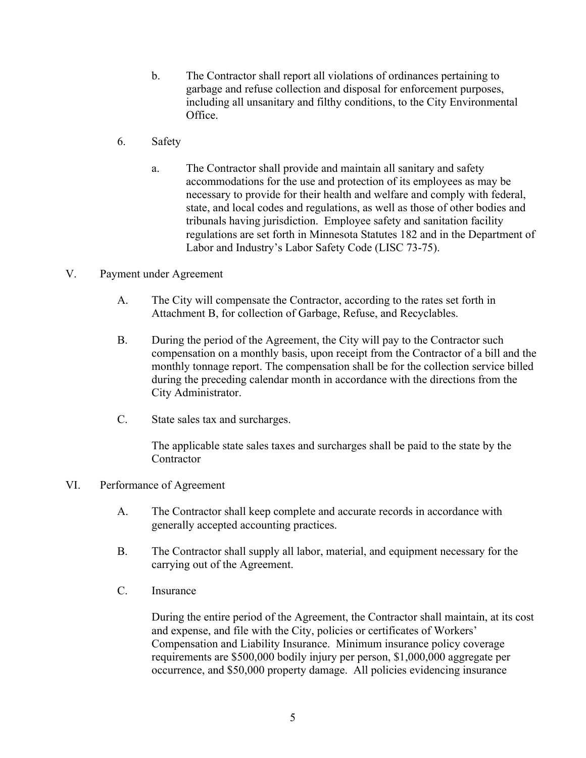- b. The Contractor shall report all violations of ordinances pertaining to garbage and refuse collection and disposal for enforcement purposes, including all unsanitary and filthy conditions, to the City Environmental Office.
- 6. Safety
	- a. The Contractor shall provide and maintain all sanitary and safety accommodations for the use and protection of its employees as may be necessary to provide for their health and welfare and comply with federal, state, and local codes and regulations, as well as those of other bodies and tribunals having jurisdiction. Employee safety and sanitation facility regulations are set forth in Minnesota Statutes 182 and in the Department of Labor and Industry's Labor Safety Code (LISC 73-75).

## V. Payment under Agreement

- A. The City will compensate the Contractor, according to the rates set forth in Attachment B, for collection of Garbage, Refuse, and Recyclables.
- B. During the period of the Agreement, the City will pay to the Contractor such compensation on a monthly basis, upon receipt from the Contractor of a bill and the monthly tonnage report. The compensation shall be for the collection service billed during the preceding calendar month in accordance with the directions from the City Administrator.
- C. State sales tax and surcharges.

The applicable state sales taxes and surcharges shall be paid to the state by the **Contractor** 

## VI. Performance of Agreement

- A. The Contractor shall keep complete and accurate records in accordance with generally accepted accounting practices.
- B. The Contractor shall supply all labor, material, and equipment necessary for the carrying out of the Agreement.
- C. Insurance

During the entire period of the Agreement, the Contractor shall maintain, at its cost and expense, and file with the City, policies or certificates of Workers' Compensation and Liability Insurance. Minimum insurance policy coverage requirements are \$500,000 bodily injury per person, \$1,000,000 aggregate per occurrence, and \$50,000 property damage. All policies evidencing insurance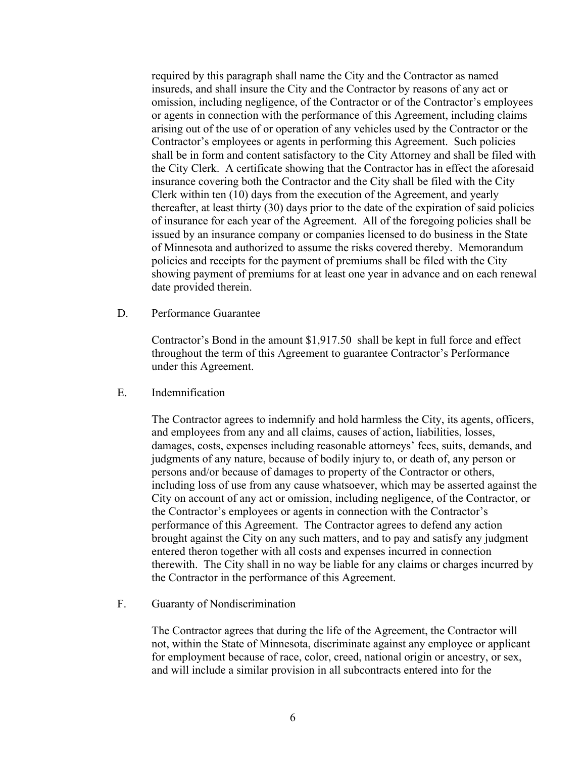required by this paragraph shall name the City and the Contractor as named insureds, and shall insure the City and the Contractor by reasons of any act or omission, including negligence, of the Contractor or of the Contractor's employees or agents in connection with the performance of this Agreement, including claims arising out of the use of or operation of any vehicles used by the Contractor or the Contractor's employees or agents in performing this Agreement. Such policies shall be in form and content satisfactory to the City Attorney and shall be filed with the City Clerk. A certificate showing that the Contractor has in effect the aforesaid insurance covering both the Contractor and the City shall be filed with the City Clerk within ten (10) days from the execution of the Agreement, and yearly thereafter, at least thirty (30) days prior to the date of the expiration of said policies of insurance for each year of the Agreement. All of the foregoing policies shall be issued by an insurance company or companies licensed to do business in the State of Minnesota and authorized to assume the risks covered thereby. Memorandum policies and receipts for the payment of premiums shall be filed with the City showing payment of premiums for at least one year in advance and on each renewal date provided therein.

D. Performance Guarantee

Contractor's Bond in the amount \$1,917.50 shall be kept in full force and effect throughout the term of this Agreement to guarantee Contractor's Performance under this Agreement.

E. Indemnification

The Contractor agrees to indemnify and hold harmless the City, its agents, officers, and employees from any and all claims, causes of action, liabilities, losses, damages, costs, expenses including reasonable attorneys' fees, suits, demands, and judgments of any nature, because of bodily injury to, or death of, any person or persons and/or because of damages to property of the Contractor or others, including loss of use from any cause whatsoever, which may be asserted against the City on account of any act or omission, including negligence, of the Contractor, or the Contractor's employees or agents in connection with the Contractor's performance of this Agreement. The Contractor agrees to defend any action brought against the City on any such matters, and to pay and satisfy any judgment entered theron together with all costs and expenses incurred in connection therewith. The City shall in no way be liable for any claims or charges incurred by the Contractor in the performance of this Agreement.

F. Guaranty of Nondiscrimination

The Contractor agrees that during the life of the Agreement, the Contractor will not, within the State of Minnesota, discriminate against any employee or applicant for employment because of race, color, creed, national origin or ancestry, or sex, and will include a similar provision in all subcontracts entered into for the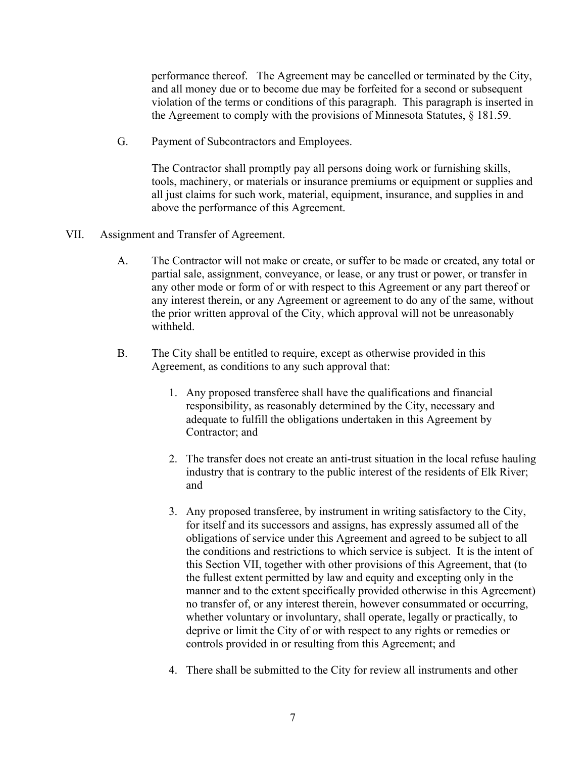performance thereof. The Agreement may be cancelled or terminated by the City, and all money due or to become due may be forfeited for a second or subsequent violation of the terms or conditions of this paragraph. This paragraph is inserted in the Agreement to comply with the provisions of Minnesota Statutes, § 181.59.

G. Payment of Subcontractors and Employees.

The Contractor shall promptly pay all persons doing work or furnishing skills, tools, machinery, or materials or insurance premiums or equipment or supplies and all just claims for such work, material, equipment, insurance, and supplies in and above the performance of this Agreement.

- VII. Assignment and Transfer of Agreement.
	- A. The Contractor will not make or create, or suffer to be made or created, any total or partial sale, assignment, conveyance, or lease, or any trust or power, or transfer in any other mode or form of or with respect to this Agreement or any part thereof or any interest therein, or any Agreement or agreement to do any of the same, without the prior written approval of the City, which approval will not be unreasonably withheld.
	- B. The City shall be entitled to require, except as otherwise provided in this Agreement, as conditions to any such approval that:
		- 1. Any proposed transferee shall have the qualifications and financial responsibility, as reasonably determined by the City, necessary and adequate to fulfill the obligations undertaken in this Agreement by Contractor; and
		- 2. The transfer does not create an anti-trust situation in the local refuse hauling industry that is contrary to the public interest of the residents of Elk River; and
		- 3. Any proposed transferee, by instrument in writing satisfactory to the City, for itself and its successors and assigns, has expressly assumed all of the obligations of service under this Agreement and agreed to be subject to all the conditions and restrictions to which service is subject. It is the intent of this Section VII, together with other provisions of this Agreement, that (to the fullest extent permitted by law and equity and excepting only in the manner and to the extent specifically provided otherwise in this Agreement) no transfer of, or any interest therein, however consummated or occurring, whether voluntary or involuntary, shall operate, legally or practically, to deprive or limit the City of or with respect to any rights or remedies or controls provided in or resulting from this Agreement; and
		- 4. There shall be submitted to the City for review all instruments and other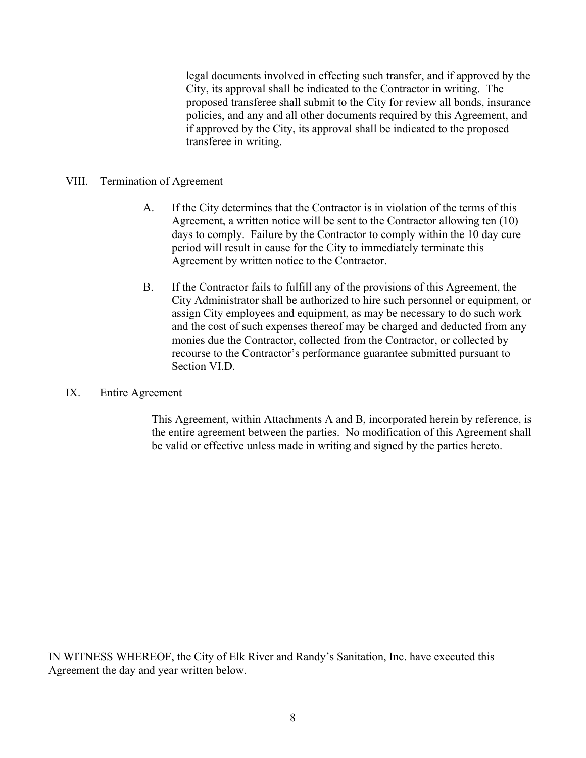legal documents involved in effecting such transfer, and if approved by the City, its approval shall be indicated to the Contractor in writing. The proposed transferee shall submit to the City for review all bonds, insurance policies, and any and all other documents required by this Agreement, and if approved by the City, its approval shall be indicated to the proposed transferee in writing.

## VIII. Termination of Agreement

- A. If the City determines that the Contractor is in violation of the terms of this Agreement, a written notice will be sent to the Contractor allowing ten (10) days to comply. Failure by the Contractor to comply within the 10 day cure period will result in cause for the City to immediately terminate this Agreement by written notice to the Contractor.
- B. If the Contractor fails to fulfill any of the provisions of this Agreement, the City Administrator shall be authorized to hire such personnel or equipment, or assign City employees and equipment, as may be necessary to do such work and the cost of such expenses thereof may be charged and deducted from any monies due the Contractor, collected from the Contractor, or collected by recourse to the Contractor's performance guarantee submitted pursuant to Section VI.D.

## IX. Entire Agreement

This Agreement, within Attachments A and B, incorporated herein by reference, is the entire agreement between the parties. No modification of this Agreement shall be valid or effective unless made in writing and signed by the parties hereto.

IN WITNESS WHEREOF, the City of Elk River and Randy's Sanitation, Inc. have executed this Agreement the day and year written below.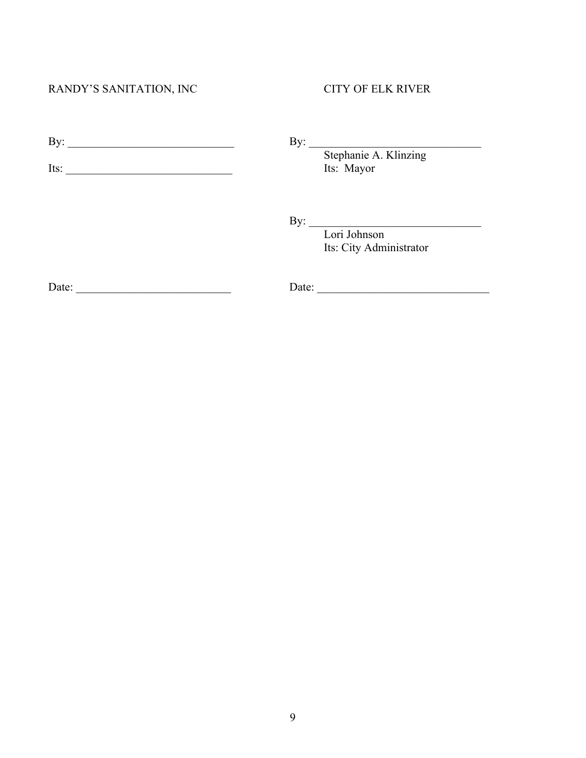# RANDY'S SANITATION, INC CITY OF ELK RIVER

| - |  |  |
|---|--|--|
|   |  |  |

Its: \_\_\_\_\_\_\_\_\_\_\_\_\_\_\_\_\_\_\_\_\_\_\_\_\_\_\_\_\_ Its: Mayor

Stephanie A. Klinzing

 $\mathbf{By:}$ 

Lori Johnson Its: City Administrator

Date: \_\_\_\_\_\_\_\_\_\_\_\_\_\_\_\_\_\_\_\_\_\_\_\_\_\_\_ Date: \_\_\_\_\_\_\_\_\_\_\_\_\_\_\_\_\_\_\_\_\_\_\_\_\_\_\_\_\_\_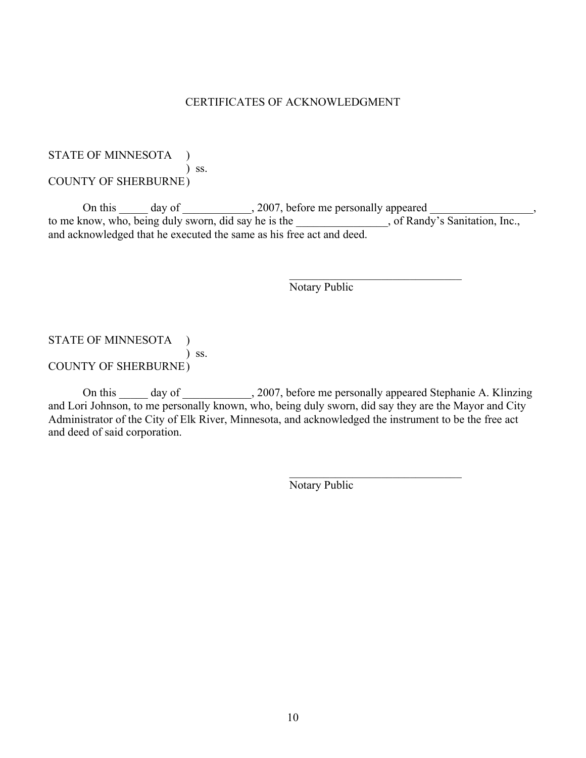## CERTIFICATES OF ACKNOWLEDGMENT

## STATE OF MINNESOTA ) ) ss. COUNTY OF SHERBURNE)

On this day of \_\_\_\_\_\_\_\_\_\_, 2007, before me personally appeared \_\_\_\_\_\_\_\_\_\_\_, to me know, who, being duly sworn, did say he is the settled and solution of Randy's Sanitation, Inc., and acknowledged that he executed the same as his free act and deed.

Notary Public

 $\mathcal{L}_\text{max}$  , and the set of the set of the set of the set of the set of the set of the set of the set of the set of the set of the set of the set of the set of the set of the set of the set of the set of the set of the

 $\mathcal{L}_\text{max}$  , and the set of the set of the set of the set of the set of the set of the set of the set of the set of the set of the set of the set of the set of the set of the set of the set of the set of the set of the

# STATE OF MINNESOTA ) ) ss. COUNTY OF SHERBURNE)

On this \_\_\_\_\_ day of \_\_\_\_\_\_\_\_\_\_, 2007, before me personally appeared Stephanie A. Klinzing and Lori Johnson, to me personally known, who, being duly sworn, did say they are the Mayor and City Administrator of the City of Elk River, Minnesota, and acknowledged the instrument to be the free act and deed of said corporation.

Notary Public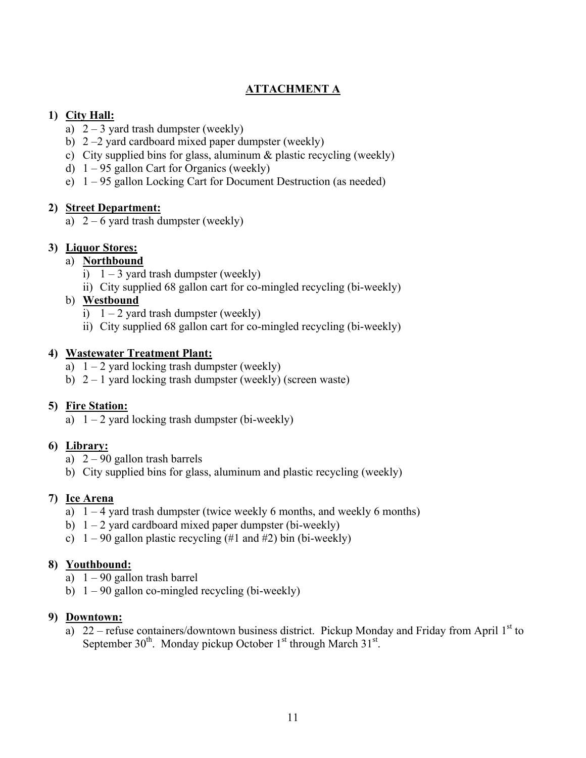# **ATTACHMENT A**

# **1) City Hall:**

- a)  $2 3$  yard trash dumpster (weekly)
- b) 2 –2 yard cardboard mixed paper dumpster (weekly)
- c) City supplied bins for glass, aluminum & plastic recycling (weekly)
- d)  $1 95$  gallon Cart for Organics (weekly)
- e) 1 95 gallon Locking Cart for Document Destruction (as needed)

# **2) Street Department:**

a)  $2 - 6$  yard trash dumpster (weekly)

# **3) Liquor Stores:**

# a) **Northbound**

- i)  $1 3$  yard trash dumpster (weekly)
- ii) City supplied 68 gallon cart for co-mingled recycling (bi-weekly)
- b) **Westbound**
	- i)  $1 2$  yard trash dumpster (weekly)
	- ii) City supplied 68 gallon cart for co-mingled recycling (bi-weekly)

# **4) Wastewater Treatment Plant:**

- a)  $1 2$  yard locking trash dumpster (weekly)
- b)  $2 1$  yard locking trash dumpster (weekly) (screen waste)

# **5) Fire Station:**

a)  $1 - 2$  yard locking trash dumpster (bi-weekly)

# **6) Library:**

- a) 2 90 gallon trash barrels
- b) City supplied bins for glass, aluminum and plastic recycling (weekly)

# **7) Ice Arena**

- a)  $1 4$  yard trash dumpster (twice weekly 6 months, and weekly 6 months)
- b)  $1 2$  yard cardboard mixed paper dumpster (bi-weekly)
- c)  $1 90$  gallon plastic recycling (#1 and #2) bin (bi-weekly)

# **8) Youthbound:**

- a)  $1 90$  gallon trash barrel
- b)  $1 90$  gallon co-mingled recycling (bi-weekly)

# **9) Downtown:**

a) 22 – refuse containers/downtown business district. Pickup Monday and Friday from April  $1<sup>st</sup>$  to September  $30^{th}$ . Monday pickup October  $1^{st}$  through March  $31^{st}$ .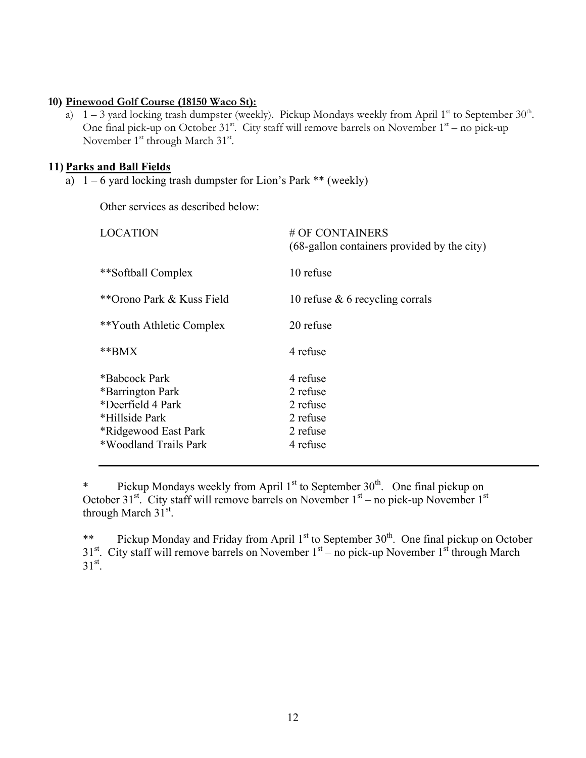### **10) Pinewood Golf Course (18150 Waco St):**

a)  $1 - 3$  yard locking trash dumpster (weekly). Pickup Mondays weekly from April 1<sup>st</sup> to September 30<sup>th</sup>. One final pick-up on October  $31^{st}$ . City staff will remove barrels on November  $1^{st}$  – no pick-up November  $1<sup>st</sup>$  through March  $31<sup>st</sup>$ .

## **11) Parks and Ball Fields**

a)  $1 - 6$  yard locking trash dumpster for Lion's Park \*\* (weekly)

Other services as described below:

| # OF CONTAINERS<br>(68-gallon containers provided by the city)       |
|----------------------------------------------------------------------|
| 10 refuse                                                            |
| 10 refuse $\&$ 6 recycling corrals                                   |
| 20 refuse                                                            |
| 4 refuse                                                             |
| 4 refuse<br>2 refuse<br>2 refuse<br>2 refuse<br>2 refuse<br>4 refuse |
|                                                                      |

\* Pickup Mondays weekly from April  $1<sup>st</sup>$  to September  $30<sup>th</sup>$ . One final pickup on October 31 $st$ . City staff will remove barrels on November 1 $st$  – no pick-up November 1 $st$ through March  $31^{\text{st}}$ .

\*\* Pickup Monday and Friday from April 1<sup>st</sup> to September 30<sup>th</sup>. One final pickup on October  $31<sup>st</sup>$ . City staff will remove barrels on November  $1<sup>st</sup>$  – no pick-up November  $1<sup>st</sup>$  through March  $31^{\text{st}}$ .